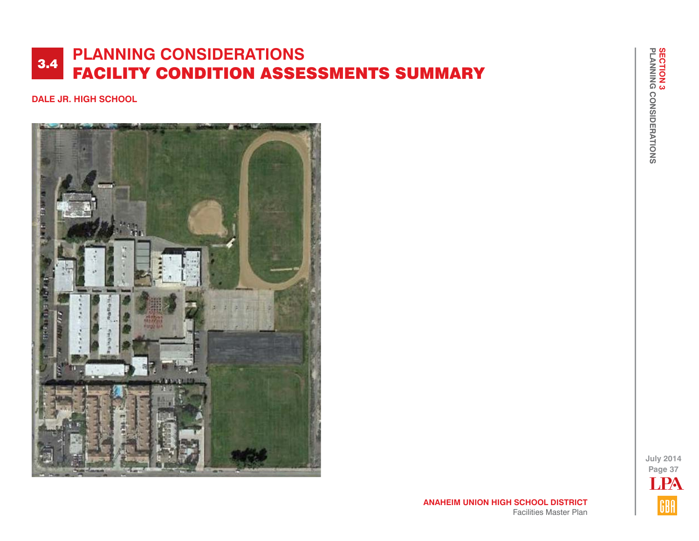## **DALE JR. HIGH SCHOOL**



**July 2014 Page 37** LPA GBA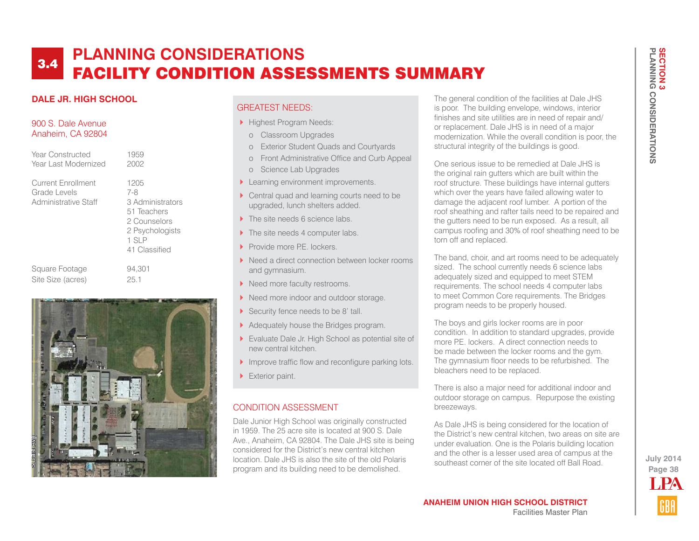# **DALE JR. HIGH SCHOOL**

### 900 S. Dale Avenue Anaheim, CA 92804

| Year Constructed                                           | 1959                                                                                                              |
|------------------------------------------------------------|-------------------------------------------------------------------------------------------------------------------|
| Year Last Modernized                                       | 2002                                                                                                              |
| Current Enrollment<br>Grade Levels<br>Administrative Staff | 1205<br>$7 - 8$<br>3 Administrators<br>51 Teachers<br>2 Counselors<br>2 Psychologists<br>$1$ SIP<br>41 Classified |
| Square Footage                                             | 94.301                                                                                                            |
| Site Size (acres)                                          | 25.1                                                                                                              |



## GREATEST NEEDS:

- Highest Program Needs:
- o Classroom Upgrades
- o Exterior Student Quads and Courtyards
- o Front Administrative Office and Curb Appeal
- o Science Lab Upgrades
- **Learning environment improvements.**
- ▶ Central quad and learning courts need to be upgraded, lunch shelters added.
- The site needs 6 science labs.
- The site needs 4 computer labs.
- Provide more P.E. lockers.
- Need a direct connection between locker rooms and gymnasium.
- Need more faculty restrooms.
- Need more indoor and outdoor storage.
- Security fence needs to be 8' tall.
- Adequately house the Bridges program.
- Evaluate Dale Jr. High School as potential site of new central kitchen.
- Improve traffic flow and reconfigure parking lots.
- Exterior paint.

## CONDITION ASSESSMENT

Dale Junior High School was originally constructed in 1959. The 25 acre site is located at 900 S. Dale Ave., Anaheim, CA 92804. The Dale JHS site is being considered for the District's new central kitchen location. Dale JHS is also the site of the old Polaris program and its building need to be demolished.

The general condition of the facilities at Dale JHS is poor. The building envelope, windows, interior finishes and site utilities are in need of repair and/ or replacement. Dale JHS is in need of a major modernization. While the overall condition is poor, the structural integrity of the buildings is good.

One serious issue to be remedied at Dale JHS is the original rain gutters which are built within the roof structure. These buildings have internal gutters which over the years have failed allowing water to damage the adjacent roof lumber. A portion of the roof sheathing and rafter tails need to be repaired and the gutters need to be run exposed. As a result, all campus roofing and 30% of roof sheathing need to be torn off and replaced.

The band, choir, and art rooms need to be adequately sized. The school currently needs 6 science labs adequately sized and equipped to meet STEM requirements. The school needs 4 computer labs to meet Common Core requirements. The Bridges program needs to be properly housed.

The boys and girls locker rooms are in poor condition. In addition to standard upgrades, provide more P.E. lockers. A direct connection needs to be made between the locker rooms and the gym. The gymnasium floor needs to be refurbished. The bleachers need to be replaced.

There is also a major need for additional indoor and outdoor storage on campus. Repurpose the existing breezeways.

As Dale JHS is being considered for the location of the District's new central kitchen, two areas on site are under evaluation. One is the Polaris building location and the other is a lesser used area of campus at the southeast corner of the site located off Ball Road.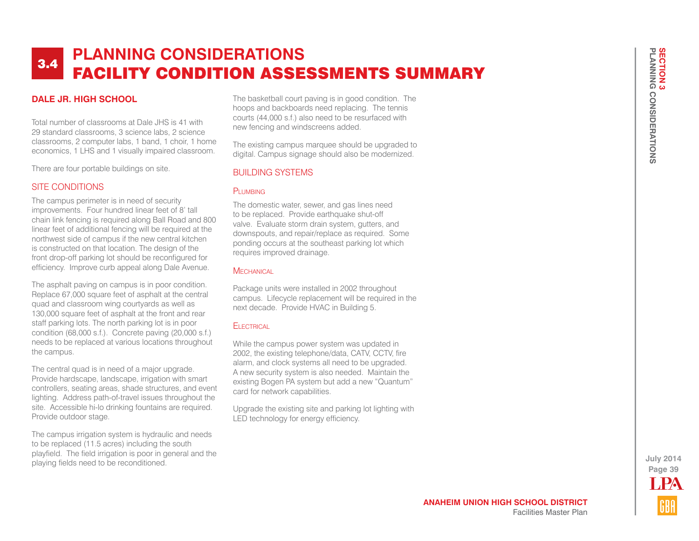## **DALE JR. HIGH SCHOOL**

Total number of classrooms at Dale JHS is 41 with 29 standard classrooms, 3 science labs, 2 science classrooms, 2 computer labs, 1 band, 1 choir, 1 home economics, 1 LHS and 1 visually impaired classroom.

There are four portable buildings on site.

#### SITE CONDITIONS

The campus perimeter is in need of security improvements. Four hundred linear feet of 8' tall chain link fencing is required along Ball Road and 800 linear feet of additional fencing will be required at the northwest side of campus if the new central kitchen is constructed on that location. The design of the front drop-off parking lot should be reconfigured for efficiency. Improve curb appeal along Dale Avenue.

The asphalt paving on campus is in poor condition. Replace 67,000 square feet of asphalt at the central quad and classroom wing courtyards as well as 130,000 square feet of asphalt at the front and rear staff parking lots. The north parking lot is in poor condition (68,000 s.f.). Concrete paving (20,000 s.f.) needs to be replaced at various locations throughout the campus.

The central quad is in need of a major upgrade. Provide hardscape, landscape, irrigation with smart controllers, seating areas, shade structures, and event lighting. Address path-of-travel issues throughout the site. Accessible hi-lo drinking fountains are required. Provide outdoor stage.

The campus irrigation system is hydraulic and needs to be replaced (11.5 acres) including the south playfield. The field irrigation is poor in general and the playing fields need to be reconditioned.

The basketball court paving is in good condition. The hoops and backboards need replacing. The tennis courts (44,000 s.f.) also need to be resurfaced with new fencing and windscreens added.

The existing campus marquee should be upgraded to digital. Campus signage should also be modernized.

#### BUILDING SYSTEMS

#### PLUMBING

The domestic water, sewer, and gas lines need to be replaced. Provide earthquake shut-off valve. Evaluate storm drain system, gutters, and downspouts, and repair/replace as required. Some ponding occurs at the southeast parking lot which requires improved drainage.

#### **MECHANICAL**

Package units were installed in 2002 throughout campus. Lifecycle replacement will be required in the next decade. Provide HVAC in Building 5.

#### **ELECTRICAL**

While the campus power system was updated in 2002, the existing telephone/data, CATV, CCTV, fire alarm, and clock systems all need to be upgraded. A new security system is also needed. Maintain the existing Bogen PA system but add a new "Quantum" card for network capabilities.

Upgrade the existing site and parking lot lighting with LED technology for energy efficiency.

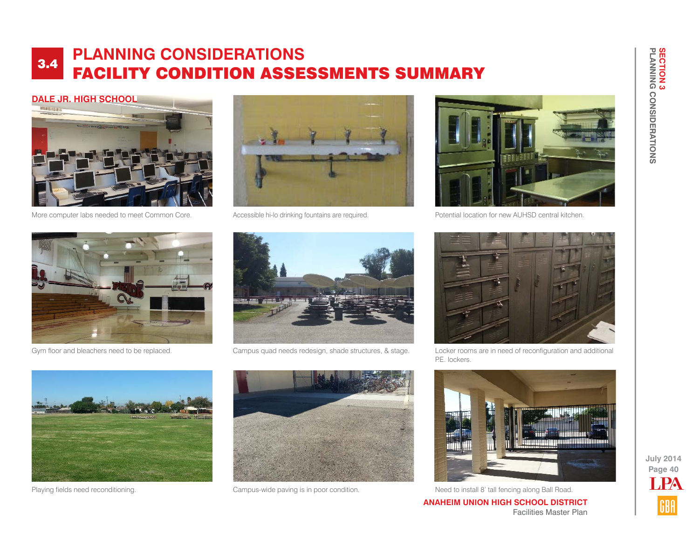# **DALE JR. HIGH SCHOOL**



More computer labs needed to meet Common Core. <br>Accessible hi-lo drinking fountains are required.





Potential location for new AUHSD central kitchen.





Gym floor and bleachers need to be replaced. Campus quad needs redesign, shade structures, & stage.



Locker rooms are in need of reconfiguration and additional P.E. lockers.



**Page 40 July 2014**

LPA

**ANAHEIM UNION HIGH SCHOOL DISTRICT** Facilities Master Plan





Playing fields need reconditioning. The School of Campus-wide paving is in poor condition. Need to install 8' tall fencing along Ball Road.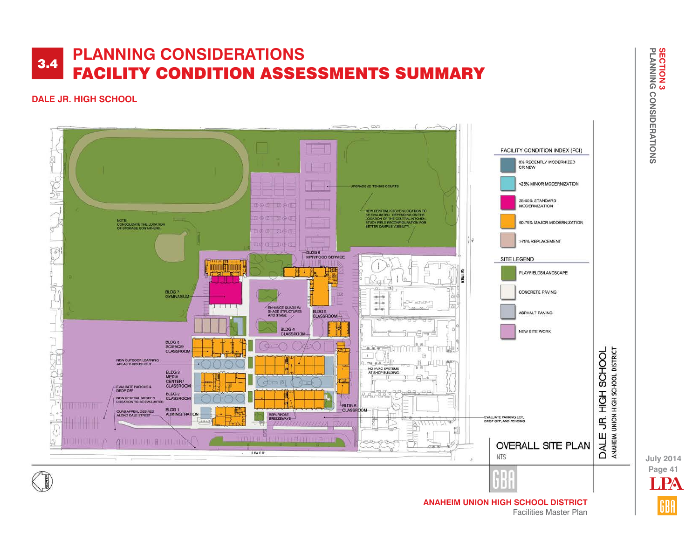## **DALE JR. HIGH SCHOOL**



**SECTION 3<br>PLANNING CONSIDERATIONS SECTION 3 PLANNING CONSIDERATIONS**

**Page 41 July 2014** LPA